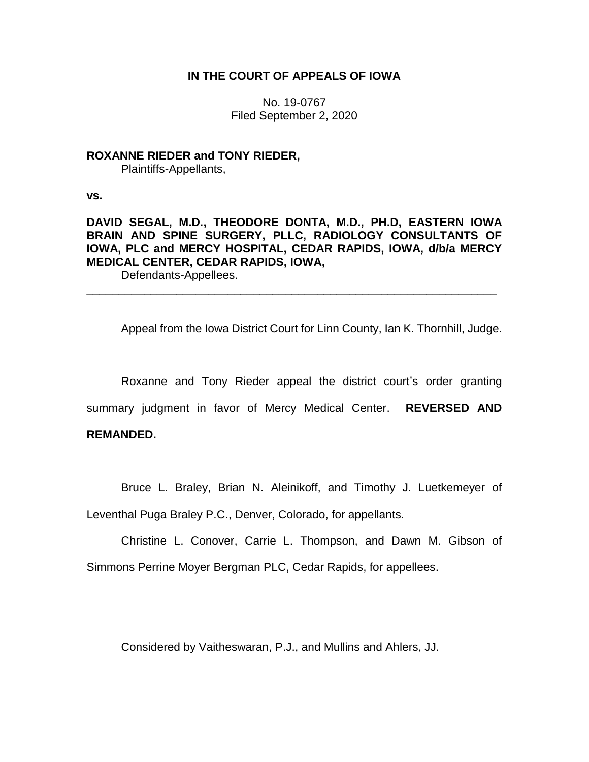## **IN THE COURT OF APPEALS OF IOWA**

No. 19-0767 Filed September 2, 2020

## **ROXANNE RIEDER and TONY RIEDER,**

Plaintiffs-Appellants,

**vs.**

# **DAVID SEGAL, M.D., THEODORE DONTA, M.D., PH.D, EASTERN IOWA BRAIN AND SPINE SURGERY, PLLC, RADIOLOGY CONSULTANTS OF IOWA, PLC and MERCY HOSPITAL, CEDAR RAPIDS, IOWA, d/b/a MERCY MEDICAL CENTER, CEDAR RAPIDS, IOWA,**

\_\_\_\_\_\_\_\_\_\_\_\_\_\_\_\_\_\_\_\_\_\_\_\_\_\_\_\_\_\_\_\_\_\_\_\_\_\_\_\_\_\_\_\_\_\_\_\_\_\_\_\_\_\_\_\_\_\_\_\_\_\_\_\_

Defendants-Appellees.

Appeal from the Iowa District Court for Linn County, Ian K. Thornhill, Judge.

Roxanne and Tony Rieder appeal the district court's order granting summary judgment in favor of Mercy Medical Center. **REVERSED AND** 

## **REMANDED.**

Bruce L. Braley, Brian N. Aleinikoff, and Timothy J. Luetkemeyer of

Leventhal Puga Braley P.C., Denver, Colorado, for appellants.

Christine L. Conover, Carrie L. Thompson, and Dawn M. Gibson of Simmons Perrine Moyer Bergman PLC, Cedar Rapids, for appellees.

Considered by Vaitheswaran, P.J., and Mullins and Ahlers, JJ.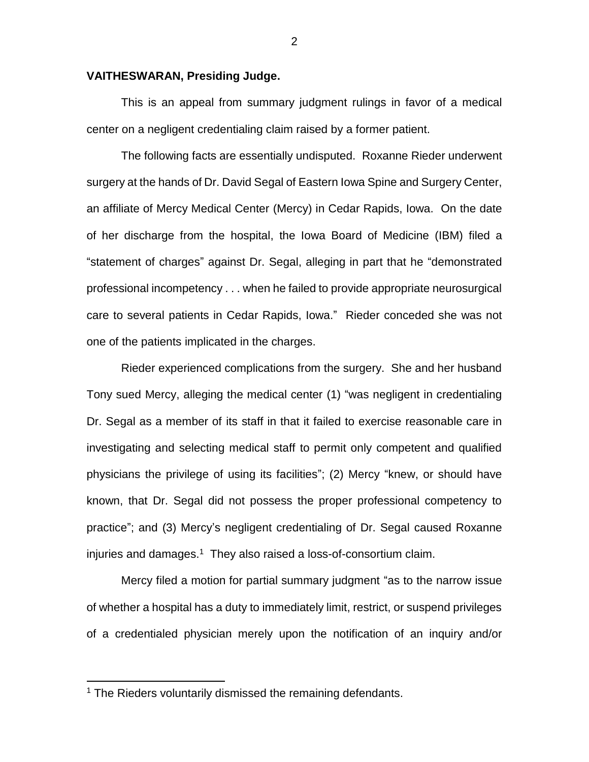#### **VAITHESWARAN, Presiding Judge.**

This is an appeal from summary judgment rulings in favor of a medical center on a negligent credentialing claim raised by a former patient.

The following facts are essentially undisputed. Roxanne Rieder underwent surgery at the hands of Dr. David Segal of Eastern Iowa Spine and Surgery Center, an affiliate of Mercy Medical Center (Mercy) in Cedar Rapids, Iowa. On the date of her discharge from the hospital, the Iowa Board of Medicine (IBM) filed a "statement of charges" against Dr. Segal, alleging in part that he "demonstrated professional incompetency . . . when he failed to provide appropriate neurosurgical care to several patients in Cedar Rapids, Iowa." Rieder conceded she was not one of the patients implicated in the charges.

Rieder experienced complications from the surgery. She and her husband Tony sued Mercy, alleging the medical center (1) "was negligent in credentialing Dr. Segal as a member of its staff in that it failed to exercise reasonable care in investigating and selecting medical staff to permit only competent and qualified physicians the privilege of using its facilities"; (2) Mercy "knew, or should have known, that Dr. Segal did not possess the proper professional competency to practice"; and (3) Mercy's negligent credentialing of Dr. Segal caused Roxanne injuries and damages.<sup>1</sup> They also raised a loss-of-consortium claim.

Mercy filed a motion for partial summary judgment "as to the narrow issue of whether a hospital has a duty to immediately limit, restrict, or suspend privileges of a credentialed physician merely upon the notification of an inquiry and/or

 $\overline{a}$ 

<sup>&</sup>lt;sup>1</sup> The Rieders voluntarily dismissed the remaining defendants.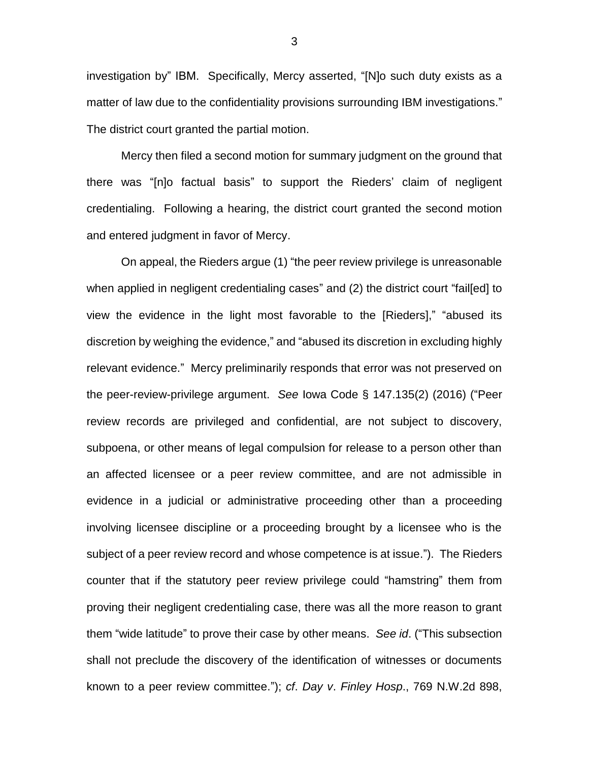investigation by" IBM. Specifically, Mercy asserted, "[N]o such duty exists as a matter of law due to the confidentiality provisions surrounding IBM investigations." The district court granted the partial motion.

Mercy then filed a second motion for summary judgment on the ground that there was "[n]o factual basis" to support the Rieders' claim of negligent credentialing. Following a hearing, the district court granted the second motion and entered judgment in favor of Mercy.

On appeal, the Rieders argue (1) "the peer review privilege is unreasonable when applied in negligent credentialing cases" and (2) the district court "fail[ed] to view the evidence in the light most favorable to the [Rieders]," "abused its discretion by weighing the evidence," and "abused its discretion in excluding highly relevant evidence." Mercy preliminarily responds that error was not preserved on the peer-review-privilege argument. *See* Iowa Code § 147.135(2) (2016) ("Peer review records are privileged and confidential, are not subject to discovery, subpoena, or other means of legal compulsion for release to a person other than an affected licensee or a peer review committee, and are not admissible in evidence in a judicial or administrative proceeding other than a proceeding involving licensee discipline or a proceeding brought by a licensee who is the subject of a peer review record and whose competence is at issue."). The Rieders counter that if the statutory peer review privilege could "hamstring" them from proving their negligent credentialing case, there was all the more reason to grant them "wide latitude" to prove their case by other means. *See id*. ("This subsection shall not preclude the discovery of the identification of witnesses or documents known to a peer review committee."); *cf*. *Day v*. *Finley Hosp*., 769 N.W.2d 898,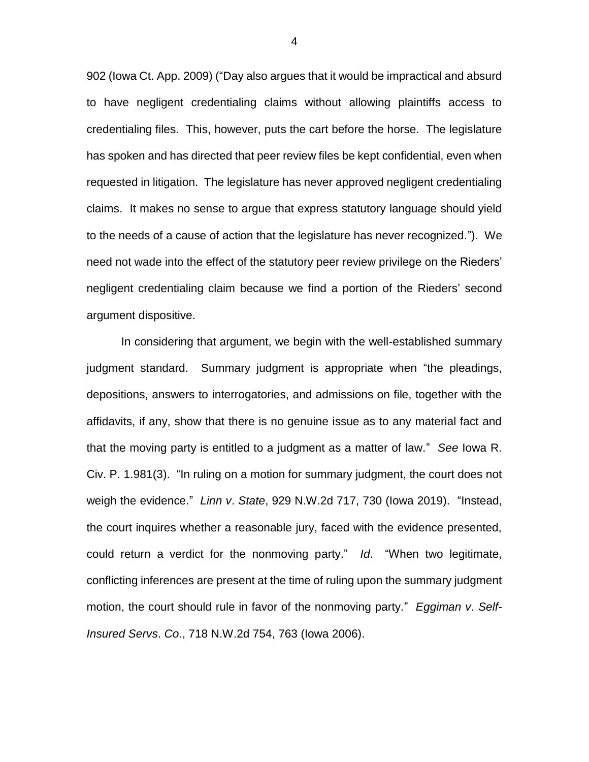902 (Iowa Ct. App. 2009) ("Day also argues that it would be impractical and absurd to have negligent credentialing claims without allowing plaintiffs access to credentialing files. This, however, puts the cart before the horse. The legislature has spoken and has directed that peer review files be kept confidential, even when requested in litigation. The legislature has never approved negligent credentialing claims. It makes no sense to argue that express statutory language should yield to the needs of a cause of action that the legislature has never recognized."). We need not wade into the effect of the statutory peer review privilege on the Rieders' negligent credentialing claim because we find a portion of the Rieders' second argument dispositive.

In considering that argument, we begin with the well-established summary judgment standard. Summary judgment is appropriate when "the pleadings, depositions, answers to interrogatories, and admissions on file, together with the affidavits, if any, show that there is no genuine issue as to any material fact and that the moving party is entitled to a judgment as a matter of law." *See* Iowa R. Civ. P. 1.981(3). "In ruling on a motion for summary judgment, the court does not weigh the evidence." *Linn v*. *State*, 929 N.W.2d 717, 730 (Iowa 2019). "Instead, the court inquires whether a reasonable jury, faced with the evidence presented, could return a verdict for the nonmoving party." *Id*. "When two legitimate, conflicting inferences are present at the time of ruling upon the summary judgment motion, the court should rule in favor of the nonmoving party." *Eggiman v*. *Self-Insured Servs*. *Co*., 718 N.W.2d 754, 763 (Iowa 2006).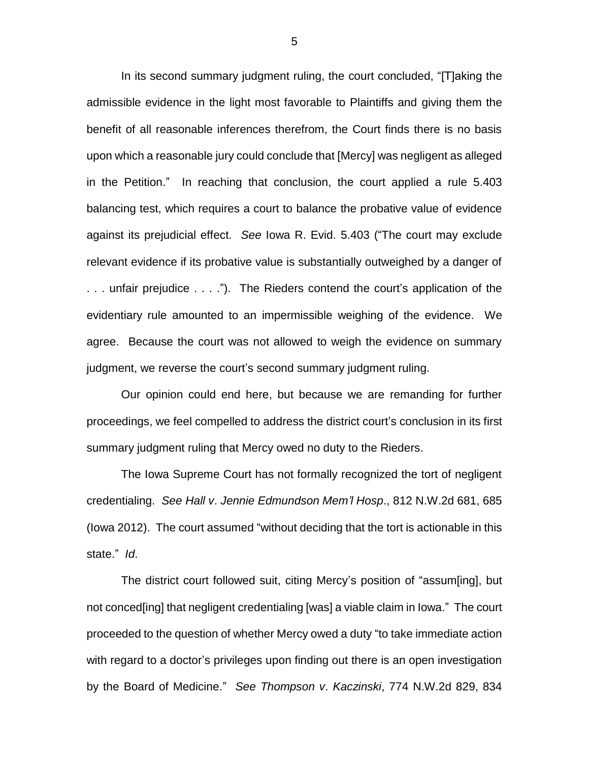In its second summary judgment ruling, the court concluded, "[T]aking the admissible evidence in the light most favorable to Plaintiffs and giving them the benefit of all reasonable inferences therefrom, the Court finds there is no basis upon which a reasonable jury could conclude that [Mercy] was negligent as alleged in the Petition." In reaching that conclusion, the court applied a rule 5.403 balancing test, which requires a court to balance the probative value of evidence against its prejudicial effect. *See* Iowa R. Evid. 5.403 ("The court may exclude relevant evidence if its probative value is substantially outweighed by a danger of . . . unfair prejudice . . . ."). The Rieders contend the court's application of the evidentiary rule amounted to an impermissible weighing of the evidence. We agree. Because the court was not allowed to weigh the evidence on summary judgment, we reverse the court's second summary judgment ruling.

Our opinion could end here, but because we are remanding for further proceedings, we feel compelled to address the district court's conclusion in its first summary judgment ruling that Mercy owed no duty to the Rieders.

The Iowa Supreme Court has not formally recognized the tort of negligent credentialing. *See Hall v*. *Jennie Edmundson Mem'l Hosp*., 812 N.W.2d 681, 685 (Iowa 2012). The court assumed "without deciding that the tort is actionable in this state." *Id*.

The district court followed suit, citing Mercy's position of "assum[ing], but not conced[ing] that negligent credentialing [was] a viable claim in Iowa." The court proceeded to the question of whether Mercy owed a duty "to take immediate action with regard to a doctor's privileges upon finding out there is an open investigation by the Board of Medicine." *See Thompson v*. *Kaczinski*, 774 N.W.2d 829, 834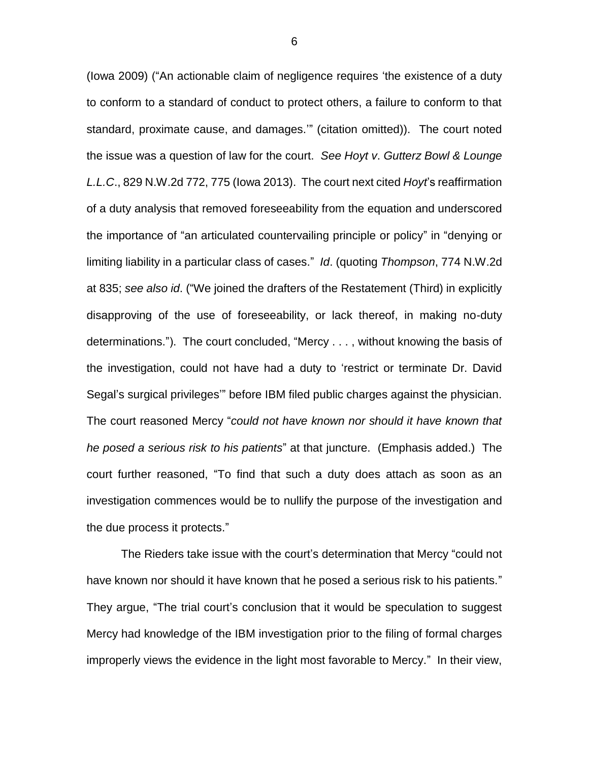(Iowa 2009) ("An actionable claim of negligence requires 'the existence of a duty to conform to a standard of conduct to protect others, a failure to conform to that standard, proximate cause, and damages.'" (citation omitted)). The court noted the issue was a question of law for the court. *See Hoyt v*. *Gutterz Bowl & Lounge L.L.C*., 829 N.W.2d 772, 775 (Iowa 2013). The court next cited *Hoyt*'s reaffirmation of a duty analysis that removed foreseeability from the equation and underscored the importance of "an articulated countervailing principle or policy" in "denying or limiting liability in a particular class of cases." *Id*. (quoting *Thompson*, 774 N.W.2d at 835; *see also id*. ("We joined the drafters of the Restatement (Third) in explicitly disapproving of the use of foreseeability, or lack thereof, in making no-duty determinations."). The court concluded, "Mercy . . . , without knowing the basis of the investigation, could not have had a duty to 'restrict or terminate Dr. David Segal's surgical privileges'" before IBM filed public charges against the physician. The court reasoned Mercy "*could not have known nor should it have known that he posed a serious risk to his patients*" at that juncture. (Emphasis added.) The court further reasoned, "To find that such a duty does attach as soon as an investigation commences would be to nullify the purpose of the investigation and the due process it protects."

The Rieders take issue with the court's determination that Mercy "could not have known nor should it have known that he posed a serious risk to his patients." They argue, "The trial court's conclusion that it would be speculation to suggest Mercy had knowledge of the IBM investigation prior to the filing of formal charges improperly views the evidence in the light most favorable to Mercy." In their view,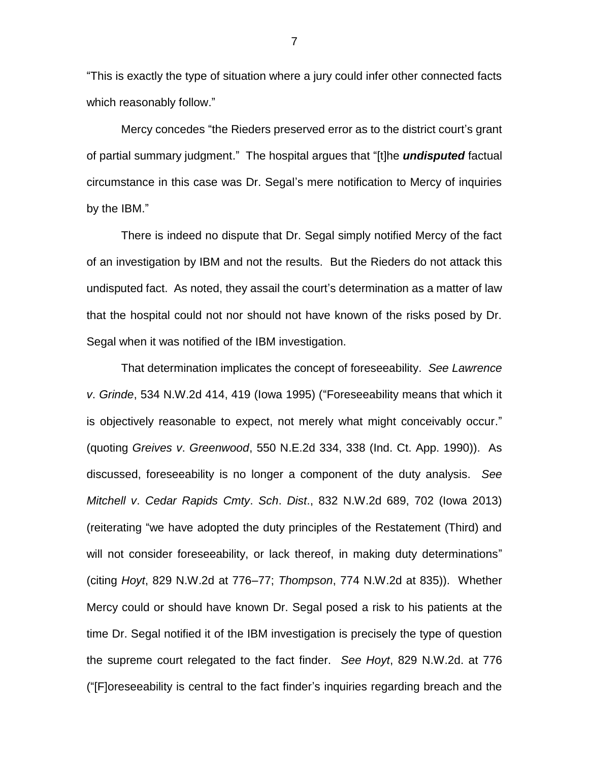"This is exactly the type of situation where a jury could infer other connected facts which reasonably follow."

Mercy concedes "the Rieders preserved error as to the district court's grant of partial summary judgment." The hospital argues that "[t]he *undisputed* factual circumstance in this case was Dr. Segal's mere notification to Mercy of inquiries by the IBM."

There is indeed no dispute that Dr. Segal simply notified Mercy of the fact of an investigation by IBM and not the results. But the Rieders do not attack this undisputed fact. As noted, they assail the court's determination as a matter of law that the hospital could not nor should not have known of the risks posed by Dr. Segal when it was notified of the IBM investigation.

That determination implicates the concept of foreseeability. *See Lawrence v*. *Grinde*, 534 N.W.2d 414, 419 (Iowa 1995) ("Foreseeability means that which it is objectively reasonable to expect, not merely what might conceivably occur." (quoting *Greives v*. *Greenwood*, 550 N.E.2d 334, 338 (Ind. Ct. App. 1990)). As discussed, foreseeability is no longer a component of the duty analysis. *See Mitchell v*. *Cedar Rapids Cmty*. *Sch*. *Dist*., 832 N.W.2d 689, 702 (Iowa 2013) (reiterating "we have adopted the duty principles of the Restatement (Third) and will not consider foreseeability, or lack thereof, in making duty determinations" (citing *Hoyt*, 829 N.W.2d at 776–77; *Thompson*, 774 N.W.2d at 835)). Whether Mercy could or should have known Dr. Segal posed a risk to his patients at the time Dr. Segal notified it of the IBM investigation is precisely the type of question the supreme court relegated to the fact finder. *See Hoyt*, 829 N.W.2d. at 776 ("[F]oreseeability is central to the fact finder's inquiries regarding breach and the